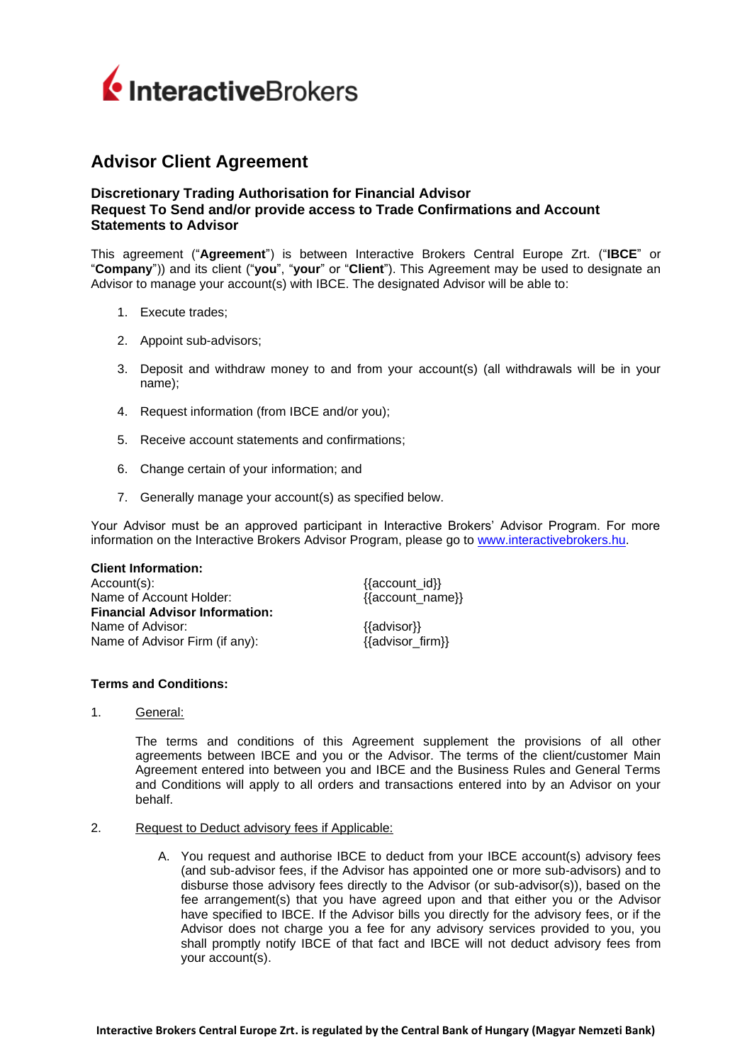

# **Advisor Client Agreement**

# **Discretionary Trading Authorisation for Financial Advisor Request To Send and/or provide access to Trade Confirmations and Account Statements to Advisor**

This agreement ("**Agreement**") is between Interactive Brokers Central Europe Zrt. ("**IBCE**" or "**Company**")) and its client ("**you**", "**your**" or "**Client**"). This Agreement may be used to designate an Advisor to manage your account(s) with IBCE. The designated Advisor will be able to:

- 1. Execute trades;
- 2. Appoint sub-advisors;
- 3. Deposit and withdraw money to and from your account(s) (all withdrawals will be in your name);
- 4. Request information (from IBCE and/or you);
- 5. Receive account statements and confirmations;
- 6. Change certain of your information; and
- 7. Generally manage your account(s) as specified below.

Your Advisor must be an approved participant in Interactive Brokers' Advisor Program. For more information on the Interactive Brokers Advisor Program, please go to [www.interactivebrokers.hu.](http://www.interactivebrokers.hu/)

## **Client Information:**

Account(s):  ${ \{ {\text{account\_id}} \} }$ Name of Account Holder:  ${ \{ {\text{account\_name}} \} }$ **Financial Advisor Information:** Name of Advisor:  ${3a}$  {{advisor}} Name of Advisor Firm (if any): {{advisor\_firm}}

- **Terms and Conditions:**
- 1. General:

The terms and conditions of this Agreement supplement the provisions of all other agreements between IBCE and you or the Advisor. The terms of the client/customer Main Agreement entered into between you and IBCE and the Business Rules and General Terms and Conditions will apply to all orders and transactions entered into by an Advisor on your behalf.

- 2. Request to Deduct advisory fees if Applicable:
	- A. You request and authorise IBCE to deduct from your IBCE account(s) advisory fees (and sub-advisor fees, if the Advisor has appointed one or more sub-advisors) and to disburse those advisory fees directly to the Advisor (or sub-advisor(s)), based on the fee arrangement(s) that you have agreed upon and that either you or the Advisor have specified to IBCE. If the Advisor bills you directly for the advisory fees, or if the Advisor does not charge you a fee for any advisory services provided to you, you shall promptly notify IBCE of that fact and IBCE will not deduct advisory fees from your account(s).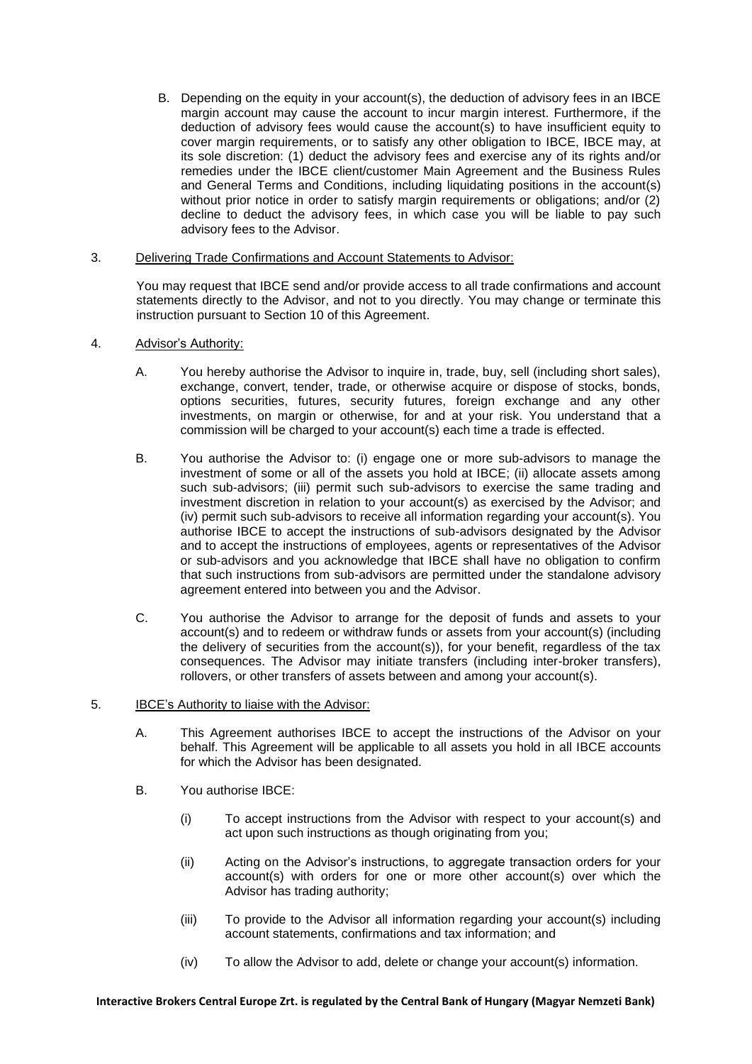B. Depending on the equity in your account(s), the deduction of advisory fees in an IBCE margin account may cause the account to incur margin interest. Furthermore, if the deduction of advisory fees would cause the account(s) to have insufficient equity to cover margin requirements, or to satisfy any other obligation to IBCE, IBCE may, at its sole discretion: (1) deduct the advisory fees and exercise any of its rights and/or remedies under the IBCE client/customer Main Agreement and the Business Rules and General Terms and Conditions, including liquidating positions in the account(s) without prior notice in order to satisfy margin requirements or obligations; and/or (2) decline to deduct the advisory fees, in which case you will be liable to pay such advisory fees to the Advisor.

## 3. Delivering Trade Confirmations and Account Statements to Advisor:

You may request that IBCE send and/or provide access to all trade confirmations and account statements directly to the Advisor, and not to you directly. You may change or terminate this instruction pursuant to Section [10](#page-3-0) of this Agreement.

- 4. Advisor's Authority:
	- A. You hereby authorise the Advisor to inquire in, trade, buy, sell (including short sales), exchange, convert, tender, trade, or otherwise acquire or dispose of stocks, bonds, options securities, futures, security futures, foreign exchange and any other investments, on margin or otherwise, for and at your risk. You understand that a commission will be charged to your account(s) each time a trade is effected.
	- B. You authorise the Advisor to: (i) engage one or more sub-advisors to manage the investment of some or all of the assets you hold at IBCE; (ii) allocate assets among such sub-advisors; (iii) permit such sub-advisors to exercise the same trading and investment discretion in relation to your account(s) as exercised by the Advisor; and (iv) permit such sub-advisors to receive all information regarding your account(s). You authorise IBCE to accept the instructions of sub-advisors designated by the Advisor and to accept the instructions of employees, agents or representatives of the Advisor or sub-advisors and you acknowledge that IBCE shall have no obligation to confirm that such instructions from sub-advisors are permitted under the standalone advisory agreement entered into between you and the Advisor.
	- C. You authorise the Advisor to arrange for the deposit of funds and assets to your account(s) and to redeem or withdraw funds or assets from your account(s) (including the delivery of securities from the account(s)), for your benefit, regardless of the tax consequences. The Advisor may initiate transfers (including inter-broker transfers), rollovers, or other transfers of assets between and among your account(s).

# 5. IBCE's Authority to liaise with the Advisor:

- A. This Agreement authorises IBCE to accept the instructions of the Advisor on your behalf. This Agreement will be applicable to all assets you hold in all IBCE accounts for which the Advisor has been designated.
- B. You authorise IBCE:
	- (i) To accept instructions from the Advisor with respect to your account(s) and act upon such instructions as though originating from you;
	- (ii) Acting on the Advisor's instructions, to aggregate transaction orders for your account(s) with orders for one or more other account(s) over which the Advisor has trading authority;
	- (iii) To provide to the Advisor all information regarding your account(s) including account statements, confirmations and tax information; and
	- (iv) To allow the Advisor to add, delete or change your account(s) information.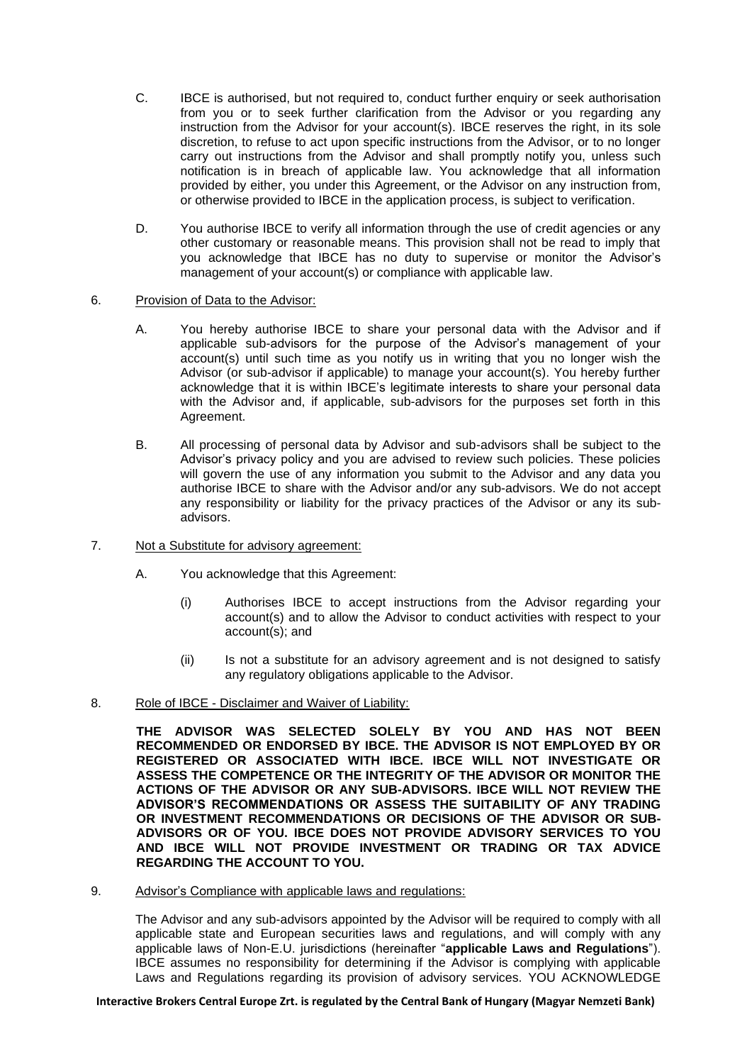- C. IBCE is authorised, but not required to, conduct further enquiry or seek authorisation from you or to seek further clarification from the Advisor or you regarding any instruction from the Advisor for your account(s). IBCE reserves the right, in its sole discretion, to refuse to act upon specific instructions from the Advisor, or to no longer carry out instructions from the Advisor and shall promptly notify you, unless such notification is in breach of applicable law. You acknowledge that all information provided by either, you under this Agreement, or the Advisor on any instruction from, or otherwise provided to IBCE in the application process, is subject to verification.
- D. You authorise IBCE to verify all information through the use of credit agencies or any other customary or reasonable means. This provision shall not be read to imply that you acknowledge that IBCE has no duty to supervise or monitor the Advisor's management of your account(s) or compliance with applicable law.

## 6. Provision of Data to the Advisor:

- A. You hereby authorise IBCE to share your personal data with the Advisor and if applicable sub-advisors for the purpose of the Advisor's management of your account(s) until such time as you notify us in writing that you no longer wish the Advisor (or sub-advisor if applicable) to manage your account(s). You hereby further acknowledge that it is within IBCE's legitimate interests to share your personal data with the Advisor and, if applicable, sub-advisors for the purposes set forth in this Agreement.
- B. All processing of personal data by Advisor and sub-advisors shall be subject to the Advisor's privacy policy and you are advised to review such policies. These policies will govern the use of any information you submit to the Advisor and any data you authorise IBCE to share with the Advisor and/or any sub-advisors. We do not accept any responsibility or liability for the privacy practices of the Advisor or any its subadvisors.
- 7. Not a Substitute for advisory agreement:
	- A. You acknowledge that this Agreement:
		- (i) Authorises IBCE to accept instructions from the Advisor regarding your account(s) and to allow the Advisor to conduct activities with respect to your account(s); and
		- (ii) Is not a substitute for an advisory agreement and is not designed to satisfy any regulatory obligations applicable to the Advisor.
- 8. Role of IBCE Disclaimer and Waiver of Liability:

**THE ADVISOR WAS SELECTED SOLELY BY YOU AND HAS NOT BEEN RECOMMENDED OR ENDORSED BY IBCE. THE ADVISOR IS NOT EMPLOYED BY OR REGISTERED OR ASSOCIATED WITH IBCE. IBCE WILL NOT INVESTIGATE OR ASSESS THE COMPETENCE OR THE INTEGRITY OF THE ADVISOR OR MONITOR THE ACTIONS OF THE ADVISOR OR ANY SUB-ADVISORS. IBCE WILL NOT REVIEW THE ADVISOR'S RECOMMENDATIONS OR ASSESS THE SUITABILITY OF ANY TRADING OR INVESTMENT RECOMMENDATIONS OR DECISIONS OF THE ADVISOR OR SUB-ADVISORS OR OF YOU. IBCE DOES NOT PROVIDE ADVISORY SERVICES TO YOU AND IBCE WILL NOT PROVIDE INVESTMENT OR TRADING OR TAX ADVICE REGARDING THE ACCOUNT TO YOU.**

9. Advisor's Compliance with applicable laws and regulations:

The Advisor and any sub-advisors appointed by the Advisor will be required to comply with all applicable state and European securities laws and regulations, and will comply with any applicable laws of Non-E.U. jurisdictions (hereinafter "**applicable Laws and Regulations**"). IBCE assumes no responsibility for determining if the Advisor is complying with applicable Laws and Regulations regarding its provision of advisory services. YOU ACKNOWLEDGE

### **Interactive Brokers Central Europe Zrt. is regulated by the Central Bank of Hungary (Magyar Nemzeti Bank)**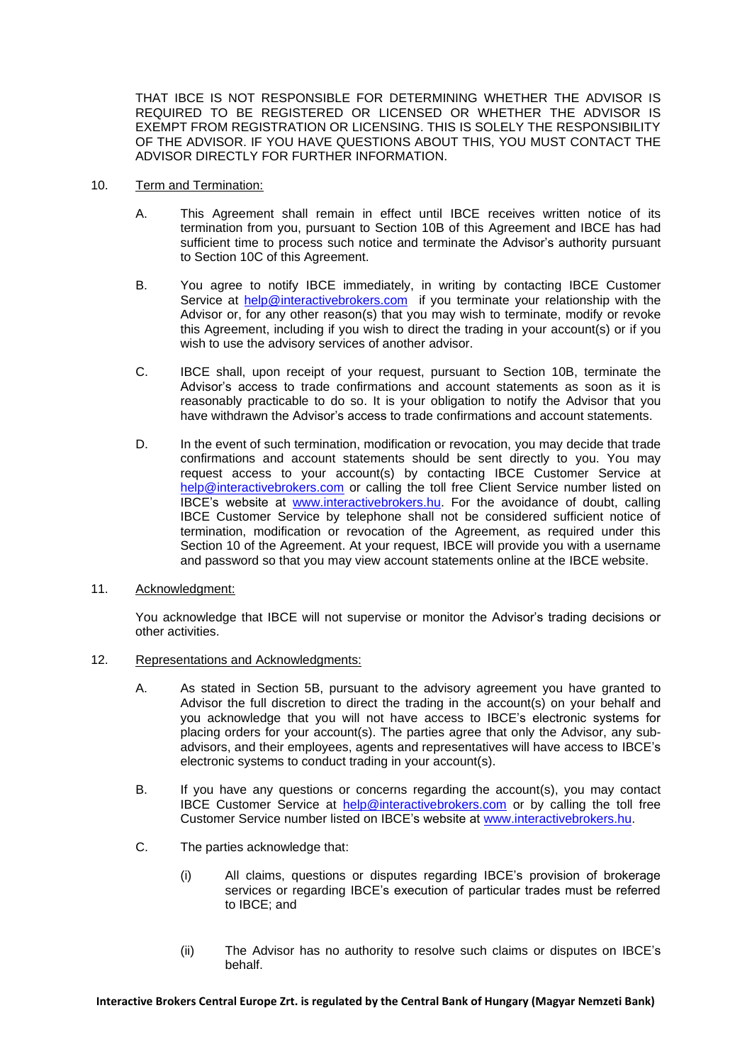THAT IBCE IS NOT RESPONSIBLE FOR DETERMINING WHETHER THE ADVISOR IS REQUIRED TO BE REGISTERED OR LICENSED OR WHETHER THE ADVISOR IS EXEMPT FROM REGISTRATION OR LICENSING. THIS IS SOLELY THE RESPONSIBILITY OF THE ADVISOR. IF YOU HAVE QUESTIONS ABOUT THIS, YOU MUST CONTACT THE ADVISOR DIRECTLY FOR FURTHER INFORMATION.

- <span id="page-3-2"></span><span id="page-3-1"></span><span id="page-3-0"></span>10. Term and Termination:
	- A. This Agreement shall remain in effect until IBCE receives written notice of its termination from you, pursuant to Section [10](#page-3-0)[B](#page-3-1) of this Agreement and IBCE has had sufficient time to process such notice and terminate the Advisor's authority pursuant to Section [10](#page-3-0)[C](#page-3-2) of this Agreement.
	- B. You agree to notify IBCE immediately, in writing by contacting IBCE Customer Service at [help@interactivebrokers.com](mailto:help@interactivebrokers.com) if you terminate your relationship with the Advisor or, for any other reason(s) that you may wish to terminate, modify or revoke this Agreement, including if you wish to direct the trading in your account(s) or if you wish to use the advisory services of another advisor.
	- C. IBCE shall, upon receipt of your request, pursuant to Section 10B, terminate the Advisor's access to trade confirmations and account statements as soon as it is reasonably practicable to do so. It is your obligation to notify the Advisor that you have withdrawn the Advisor's access to trade confirmations and account statements.
	- D. In the event of such termination, modification or revocation, you may decide that trade confirmations and account statements should be sent directly to you. You may request access to your account(s) by contacting IBCE Customer Service at [help@interactivebrokers.com](mailto:help@interactivebrokers.com) or calling the toll free Client Service number listed on IBCE's website at [www.interactivebrokers.hu.](http://www.interactivebrokers.hu/) For the avoidance of doubt, calling IBCE Customer Service by telephone shall not be considered sufficient notice of termination, modification or revocation of the Agreement, as required under this Section 10 of the Agreement. At your request, IBCE will provide you with a username and password so that you may view account statements online at the IBCE website.
- 11. Acknowledgment:

You acknowledge that IBCE will not supervise or monitor the Advisor's trading decisions or other activities.

- 12. Representations and Acknowledgments:
	- A. As stated in Section 5B, pursuant to the advisory agreement you have granted to Advisor the full discretion to direct the trading in the account(s) on your behalf and you acknowledge that you will not have access to IBCE's electronic systems for placing orders for your account(s). The parties agree that only the Advisor, any subadvisors, and their employees, agents and representatives will have access to IBCE's electronic systems to conduct trading in your account(s).
	- B. If you have any questions or concerns regarding the account(s), you may contact IBCE Customer Service at [help@interactivebrokers.com](mailto:help@interactivebrokers.com) or by calling the toll free Customer Service number listed on IBCE's website at [www.interactivebrokers.hu.](http://www.interactivebrokers.hu/)
	- C. The parties acknowledge that:
		- (i) All claims, questions or disputes regarding IBCE's provision of brokerage services or regarding IBCE's execution of particular trades must be referred to IBCE; and
		- (ii) The Advisor has no authority to resolve such claims or disputes on IBCE's behalf.